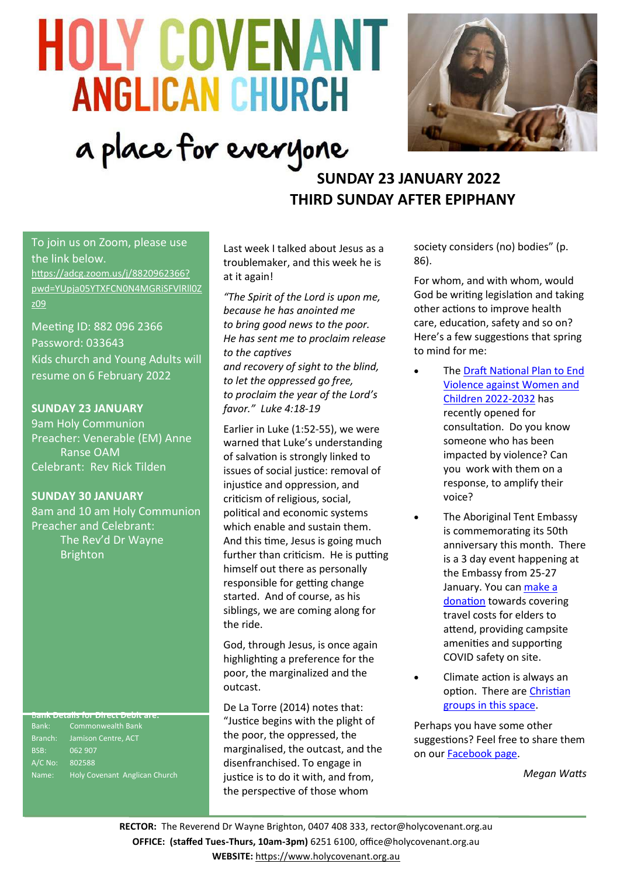# **HOLY COVENANT ANGLICAN CHURCH**

# a place for everyone **SUNDAY 23 JANUARY 2022 THIRD SUNDAY AFTER EPIPHANY**

To join us on Zoom, please use the link below. [https://adcg.zoom.us/j/8820962366?](https://adcg.zoom.us/j/8820962366?pwd=YUpja05YTXFCN0N4MGRiSFVlRll0Zz09) [pwd=YUpja05YTXFCN0N4MGRiSFVlRll0Z](https://adcg.zoom.us/j/8820962366?pwd=YUpja05YTXFCN0N4MGRiSFVlRll0Zz09) [z09](https://adcg.zoom.us/j/8820962366?pwd=YUpja05YTXFCN0N4MGRiSFVlRll0Zz09)

Meeting ID: 882 096 2366 Password: 033643 Kids church and Young Adults will resume on 6 February 2022

# **SUNDAY 23 JANUARY**

9am Holy Communion Preacher: Venerable (EM) Anne Ranse OAM Celebrant: Rev Rick Tilden

### **SUNDAY 30 JANUARY**

8am and 10 am Holy Communion Preacher and Celebrant: The Rev'd Dr Wayne **Brighton** 

**Bank Details for Direct Debit are:**<br>Bank: Commonwealth Bank Commonwealth Bank BSB: 062 907 A/C No: 802588 Name: Holy Covenant Anglican Church Last week I talked about Jesus as a troublemaker, and this week he is at it again!

*"The Spirit of the Lord is upon me, because he has anointed me to bring good news to the poor. He has sent me to proclaim release to the captives and recovery of sight to the blind, to let the oppressed go free, to proclaim the year of the Lord's favor." Luke 4:18-19*

Earlier in Luke (1:52-55), we were warned that Luke's understanding of salvation is strongly linked to issues of social justice: removal of injustice and oppression, and criticism of religious, social, political and economic systems which enable and sustain them. And this time, Jesus is going much further than criticism. He is putting himself out there as personally responsible for getting change started. And of course, as his siblings, we are coming along for the ride.

God, through Jesus, is once again highlighting a preference for the poor, the marginalized and the outcast.

De La Torre (2014) notes that: "Justice begins with the plight of the poor, the oppressed, the marginalised, the outcast, and the disenfranchised. To engage in justice is to do it with, and from, the perspective of those whom

society considers (no) bodies" (p. 86).

For whom, and with whom, would God be writing legislation and taking other actions to improve health care, education, safety and so on? Here's a few suggestions that spring to mind for me:

- The Draft National Plan to End [Violence against Women and](https://engage.dss.gov.au/draft-national-plan-to-end-violence-against-women-and-children-2022-2032/)  [Children 2022](https://engage.dss.gov.au/draft-national-plan-to-end-violence-against-women-and-children-2022-2032/)-2032 has recently opened for consultation. Do you know someone who has been impacted by violence? Can you work with them on a response, to amplify their voice?
- The Aboriginal Tent Embassy is commemorating its 50th anniversary this month. There is a 3 day event happening at the Embassy from 25-27 January. You can [make a](https://chuffed.org/project/aboriginal-tent-embassy-anniversary)  [donation](https://chuffed.org/project/aboriginal-tent-embassy-anniversary) towards covering travel costs for elders to attend, providing campsite amenities and supporting COVID safety on site.
- Climate action is always an option. There are [Christian](https://www.commongrace.org.au/climate_change)  [groups in this space.](https://www.commongrace.org.au/climate_change)

Perhaps you have some other suggestions? Feel free to share them on our [Facebook page.](https://www.facebook.com/HCJamison/)

*Megan Watts*

**RECTOR:** The Reverend Dr Wayne Brighton, 0407 408 333, [rector@holycovenant.org.au](mailto:rector@holycovenant.org.au) **OFFICE: (staffed Tues-Thurs, 10am-3pm)** 6251 6100, office@holycovenant.org.au **WEBSITE:** [https://www.holycovenant.org.au](https://www.holycovenant.org.au/)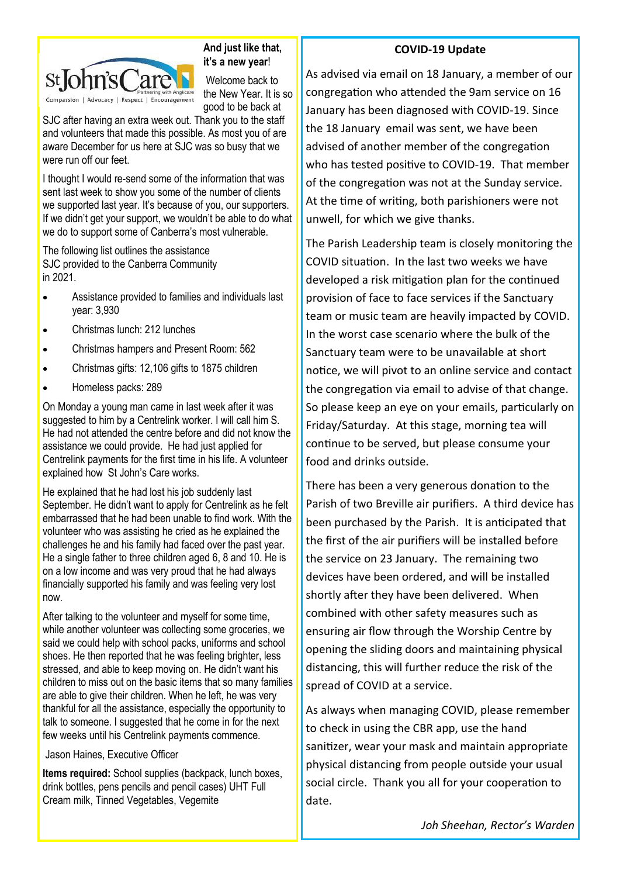

# **And just like that, it's a new year**!

Welcome back to the New Year. It is so good to be back at

SJC after having an extra week out. Thank you to the staff and volunteers that made this possible. As most you of are aware December for us here at SJC was so busy that we were run off our feet.

I thought I would re-send some of the information that was sent last week to show you some of the number of clients we supported last year. It's because of you, our supporters. If we didn't get your support, we wouldn't be able to do what we do to support some of Canberra's most vulnerable.

The following list outlines the assistance SJC provided to the Canberra Community in 2021.

- Assistance provided to families and individuals last year: 3,930
- Christmas lunch: 212 lunches
- Christmas hampers and Present Room: 562
- Christmas gifts: 12,106 gifts to 1875 children
- Homeless packs: 289

On Monday a young man came in last week after it was suggested to him by a Centrelink worker. I will call him S. He had not attended the centre before and did not know the assistance we could provide. He had just applied for Centrelink payments for the first time in his life. A volunteer explained how St John's Care works.

He explained that he had lost his job suddenly last September. He didn't want to apply for Centrelink as he felt embarrassed that he had been unable to find work. With the volunteer who was assisting he cried as he explained the challenges he and his family had faced over the past year. He a single father to three children aged 6, 8 and 10. He is on a low income and was very proud that he had always financially supported his family and was feeling very lost now.

After talking to the volunteer and myself for some time, while another volunteer was collecting some groceries, we said we could help with school packs, uniforms and school shoes. He then reported that he was feeling brighter, less stressed, and able to keep moving on. He didn't want his children to miss out on the basic items that so many families are able to give their children. When he left, he was very thankful for all the assistance, especially the opportunity to talk to someone. I suggested that he come in for the next few weeks until his Centrelink payments commence.

Jason Haines, Executive Officer

**Items required:** School supplies (backpack, lunch boxes, drink bottles, pens pencils and pencil cases) UHT Full Cream milk, Tinned Vegetables, Vegemite

# **COVID-19 Update**

As advised via email on 18 January, a member of our congregation who attended the 9am service on 16 January has been diagnosed with COVID-19. Since the 18 January email was sent, we have been advised of another member of the congregation who has tested positive to COVID-19. That member of the congregation was not at the Sunday service. At the time of writing, both parishioners were not unwell, for which we give thanks.

The Parish Leadership team is closely monitoring the COVID situation. In the last two weeks we have developed a risk mitigation plan for the continued provision of face to face services if the Sanctuary team or music team are heavily impacted by COVID. In the worst case scenario where the bulk of the Sanctuary team were to be unavailable at short notice, we will pivot to an online service and contact the congregation via email to advise of that change. So please keep an eye on your emails, particularly on Friday/Saturday. At this stage, morning tea will continue to be served, but please consume your food and drinks outside.

There has been a very generous donation to the Parish of two Breville air purifiers. A third device has been purchased by the Parish. It is anticipated that the first of the air purifiers will be installed before the service on 23 January. The remaining two devices have been ordered, and will be installed shortly after they have been delivered. When combined with other safety measures such as ensuring air flow through the Worship Centre by opening the sliding doors and maintaining physical distancing, this will further reduce the risk of the spread of COVID at a service.

As always when managing COVID, please remember to check in using the CBR app, use the hand sanitizer, wear your mask and maintain appropriate physical distancing from people outside your usual social circle. Thank you all for your cooperation to date.

*Joh Sheehan, Rector's Warden*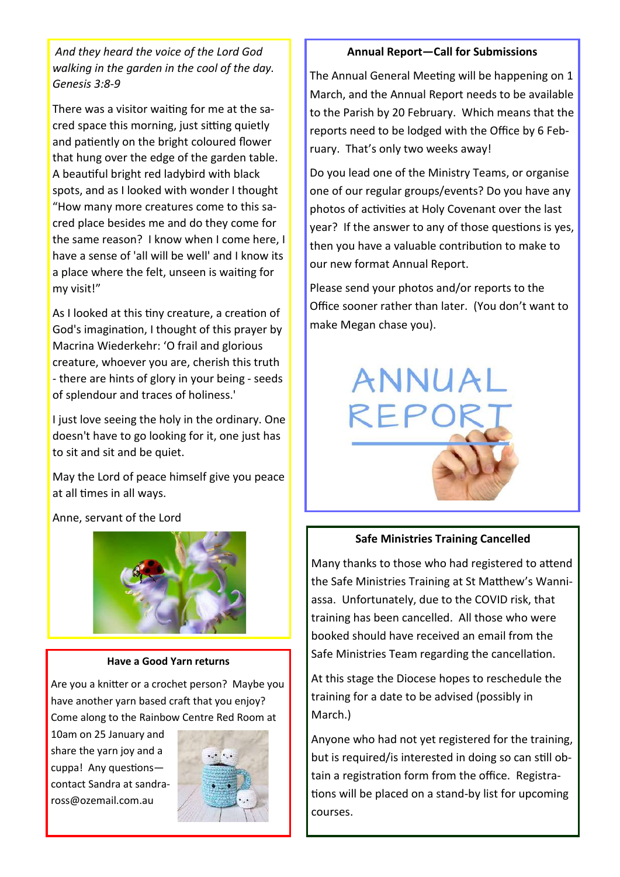*And they heard the voice of the Lord God walking in the garden in the cool of the day. Genesis 3:8-9*

There was a visitor waiting for me at the sacred space this morning, just sitting quietly and patiently on the bright coloured flower that hung over the edge of the garden table. A beautiful bright red ladybird with black spots, and as I looked with wonder I thought "How many more creatures come to this sacred place besides me and do they come for the same reason? I know when I come here, I have a sense of 'all will be well' and I know its a place where the felt, unseen is waiting for my visit!"

As I looked at this tiny creature, a creation of God's imagination, I thought of this prayer by Macrina Wiederkehr: 'O frail and glorious creature, whoever you are, cherish this truth - there are hints of glory in your being - seeds of splendour and traces of holiness.'

I just love seeing the holy in the ordinary. One doesn't have to go looking for it, one just has to sit and sit and be quiet.

May the Lord of peace himself give you peace at all times in all ways.

Anne, servant of the Lord



#### **Have a Good Yarn returns**

Are you a knitter or a crochet person? Maybe you have another yarn based craft that you enjoy? Come along to the Rainbow Centre Red Room at

10am on 25 January and share the yarn joy and a cuppa! Any questions contact Sandra at sandraross@ozemail.com.au



# **Annual Report—Call for Submissions**

The Annual General Meeting will be happening on 1 March, and the Annual Report needs to be available to the Parish by 20 February. Which means that the reports need to be lodged with the Office by 6 February. That's only two weeks away!

Do you lead one of the Ministry Teams, or organise one of our regular groups/events? Do you have any photos of activities at Holy Covenant over the last year? If the answer to any of those questions is yes, then you have a valuable contribution to make to our new format Annual Report.

Please send your photos and/or reports to the Office sooner rather than later. (You don't want to make Megan chase you).



# **Safe Ministries Training Cancelled**

Many thanks to those who had registered to attend the Safe Ministries Training at St Matthew's Wanniassa. Unfortunately, due to the COVID risk, that training has been cancelled. All those who were booked should have received an email from the Safe Ministries Team regarding the cancellation.

At this stage the Diocese hopes to reschedule the training for a date to be advised (possibly in March.)

Anyone who had not yet registered for the training, but is required/is interested in doing so can still obtain a registration form from the office. Registrations will be placed on a stand-by list for upcoming courses.